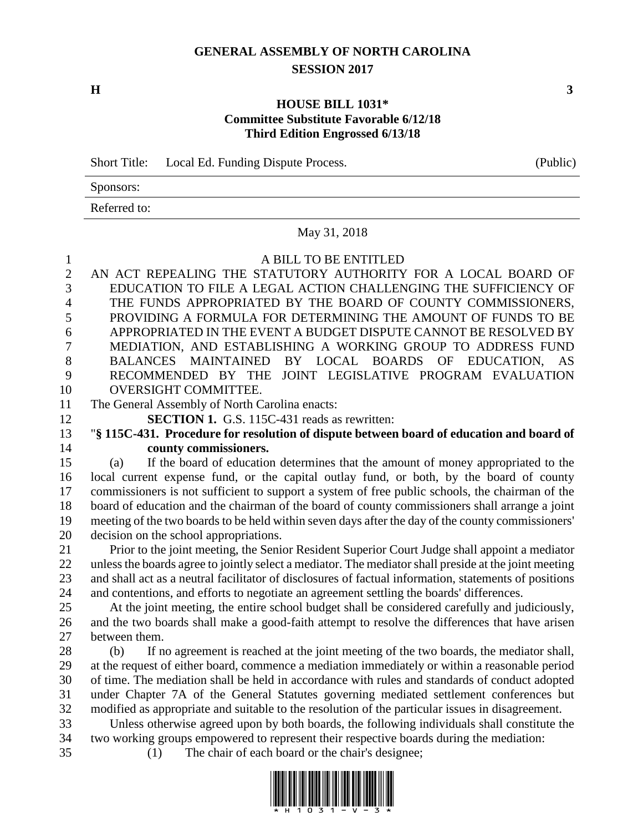# **GENERAL ASSEMBLY OF NORTH CAROLINA SESSION 2017**

**H 3**

### **HOUSE BILL 1031\* Committee Substitute Favorable 6/12/18 Third Edition Engrossed 6/13/18**

Short Title: Local Ed. Funding Dispute Process. (Public)

Sponsors: Referred to:

#### May 31, 2018

#### A BILL TO BE ENTITLED

 AN ACT REPEALING THE STATUTORY AUTHORITY FOR A LOCAL BOARD OF EDUCATION TO FILE A LEGAL ACTION CHALLENGING THE SUFFICIENCY OF THE FUNDS APPROPRIATED BY THE BOARD OF COUNTY COMMISSIONERS, PROVIDING A FORMULA FOR DETERMINING THE AMOUNT OF FUNDS TO BE APPROPRIATED IN THE EVENT A BUDGET DISPUTE CANNOT BE RESOLVED BY MEDIATION, AND ESTABLISHING A WORKING GROUP TO ADDRESS FUND BALANCES MAINTAINED BY LOCAL BOARDS OF EDUCATION, AS RECOMMENDED BY THE JOINT LEGISLATIVE PROGRAM EVALUATION OVERSIGHT COMMITTEE.

The General Assembly of North Carolina enacts:

**SECTION 1.** G.S. 115C-431 reads as rewritten:

 "**§ 115C-431. Procedure for resolution of dispute between board of education and board of county commissioners.**

 (a) If the board of education determines that the amount of money appropriated to the local current expense fund, or the capital outlay fund, or both, by the board of county commissioners is not sufficient to support a system of free public schools, the chairman of the board of education and the chairman of the board of county commissioners shall arrange a joint meeting of the two boards to be held within seven days after the day of the county commissioners' decision on the school appropriations.

 Prior to the joint meeting, the Senior Resident Superior Court Judge shall appoint a mediator unless the boards agree to jointly select a mediator. The mediator shall preside at the joint meeting and shall act as a neutral facilitator of disclosures of factual information, statements of positions and contentions, and efforts to negotiate an agreement settling the boards' differences.

 At the joint meeting, the entire school budget shall be considered carefully and judiciously, and the two boards shall make a good-faith attempt to resolve the differences that have arisen between them.

 (b) If no agreement is reached at the joint meeting of the two boards, the mediator shall, at the request of either board, commence a mediation immediately or within a reasonable period of time. The mediation shall be held in accordance with rules and standards of conduct adopted under Chapter 7A of the General Statutes governing mediated settlement conferences but modified as appropriate and suitable to the resolution of the particular issues in disagreement.

 Unless otherwise agreed upon by both boards, the following individuals shall constitute the two working groups empowered to represent their respective boards during the mediation:

(1) The chair of each board or the chair's designee;

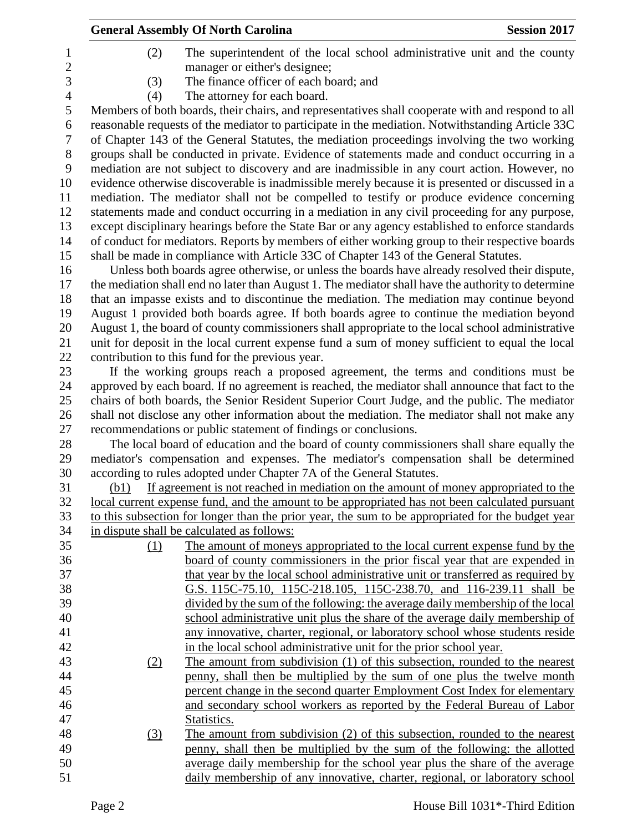|                |      | <b>General Assembly Of North Carolina</b>                                                                                                       | <b>Session 2017</b> |
|----------------|------|-------------------------------------------------------------------------------------------------------------------------------------------------|---------------------|
| 1              | (2)  | The superintendent of the local school administrative unit and the county                                                                       |                     |
| $\overline{c}$ |      | manager or either's designee;                                                                                                                   |                     |
| 3              | (3)  | The finance officer of each board; and                                                                                                          |                     |
| $\overline{4}$ | (4)  | The attorney for each board.                                                                                                                    |                     |
| 5              |      | Members of both boards, their chairs, and representatives shall cooperate with and respond to all                                               |                     |
| 6              |      | reasonable requests of the mediator to participate in the mediation. Notwithstanding Article 33C                                                |                     |
| 7              |      | of Chapter 143 of the General Statutes, the mediation proceedings involving the two working                                                     |                     |
| 8              |      | groups shall be conducted in private. Evidence of statements made and conduct occurring in a                                                    |                     |
| 9              |      | mediation are not subject to discovery and are inadmissible in any court action. However, no                                                    |                     |
| 10             |      | evidence otherwise discoverable is inadmissible merely because it is presented or discussed in a                                                |                     |
| 11             |      | mediation. The mediator shall not be compelled to testify or produce evidence concerning                                                        |                     |
| 12             |      | statements made and conduct occurring in a mediation in any civil proceeding for any purpose,                                                   |                     |
| 13             |      | except disciplinary hearings before the State Bar or any agency established to enforce standards                                                |                     |
| 14             |      | of conduct for mediators. Reports by members of either working group to their respective boards                                                 |                     |
| 15             |      | shall be made in compliance with Article 33C of Chapter 143 of the General Statutes.                                                            |                     |
| 16             |      | Unless both boards agree otherwise, or unless the boards have already resolved their dispute,                                                   |                     |
| 17             |      | the mediation shall end no later than August 1. The mediator shall have the authority to determine                                              |                     |
| 18             |      | that an impasse exists and to discontinue the mediation. The mediation may continue beyond                                                      |                     |
| 19             |      | August 1 provided both boards agree. If both boards agree to continue the mediation beyond                                                      |                     |
| 20             |      | August 1, the board of county commissioners shall appropriate to the local school administrative                                                |                     |
| 21             |      | unit for deposit in the local current expense fund a sum of money sufficient to equal the local                                                 |                     |
| 22             |      | contribution to this fund for the previous year.                                                                                                |                     |
| 23             |      | If the working groups reach a proposed agreement, the terms and conditions must be                                                              |                     |
| 24             |      | approved by each board. If no agreement is reached, the mediator shall announce that fact to the                                                |                     |
| 25             |      | chairs of both boards, the Senior Resident Superior Court Judge, and the public. The mediator                                                   |                     |
| 26             |      | shall not disclose any other information about the mediation. The mediator shall not make any                                                   |                     |
| 27             |      | recommendations or public statement of findings or conclusions.                                                                                 |                     |
| 28             |      | The local board of education and the board of county commissioners shall share equally the                                                      |                     |
| 29             |      | mediator's compensation and expenses. The mediator's compensation shall be determined                                                           |                     |
| 30             |      | according to rules adopted under Chapter 7A of the General Statutes.                                                                            |                     |
| 31             | (b1) | If agreement is not reached in mediation on the amount of money appropriated to the                                                             |                     |
| 32             |      | local current expense fund, and the amount to be appropriated has not been calculated pursuant                                                  |                     |
| 33<br>34       |      | to this subsection for longer than the prior year, the sum to be appropriated for the budget year<br>in dispute shall be calculated as follows: |                     |
| 35             | (1)  | The amount of moneys appropriated to the local current expense fund by the                                                                      |                     |
| 36             |      | board of county commissioners in the prior fiscal year that are expended in                                                                     |                     |
| 37             |      | that year by the local school administrative unit or transferred as required by                                                                 |                     |
| 38             |      | G.S. 115C-75.10, 115C-218.105, 115C-238.70, and 116-239.11 shall be                                                                             |                     |
| 39             |      | divided by the sum of the following: the average daily membership of the local                                                                  |                     |
| 40             |      | school administrative unit plus the share of the average daily membership of                                                                    |                     |
| 41             |      | any innovative, charter, regional, or laboratory school whose students reside                                                                   |                     |
| 42             |      | in the local school administrative unit for the prior school year.                                                                              |                     |
| 43             | (2)  | The amount from subdivision (1) of this subsection, rounded to the nearest                                                                      |                     |
| 44             |      | penny, shall then be multiplied by the sum of one plus the twelve month                                                                         |                     |
| 45             |      | percent change in the second quarter Employment Cost Index for elementary                                                                       |                     |
| 46             |      | and secondary school workers as reported by the Federal Bureau of Labor                                                                         |                     |
| 47             |      | Statistics.                                                                                                                                     |                     |
| 48             | (3)  | The amount from subdivision (2) of this subsection, rounded to the nearest                                                                      |                     |
| 49             |      | penny, shall then be multiplied by the sum of the following: the allotted                                                                       |                     |
| 50             |      | average daily membership for the school year plus the share of the average                                                                      |                     |
| 51             |      | daily membership of any innovative, charter, regional, or laboratory school                                                                     |                     |
|                |      |                                                                                                                                                 |                     |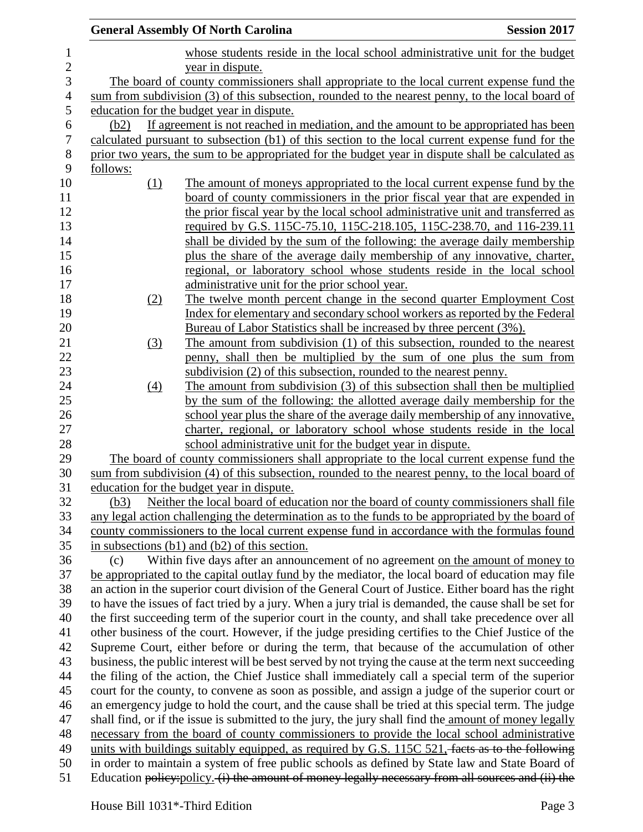|          | <b>General Assembly Of North Carolina</b>                                                                                                                                                                     | <b>Session 2017</b> |
|----------|---------------------------------------------------------------------------------------------------------------------------------------------------------------------------------------------------------------|---------------------|
|          | whose students reside in the local school administrative unit for the budget<br>year in dispute.                                                                                                              |                     |
|          | The board of county commissioners shall appropriate to the local current expense fund the                                                                                                                     |                     |
|          | sum from subdivision (3) of this subsection, rounded to the nearest penny, to the local board of                                                                                                              |                     |
|          | education for the budget year in dispute.                                                                                                                                                                     |                     |
| (b2)     | If agreement is not reached in mediation, and the amount to be appropriated has been                                                                                                                          |                     |
|          | calculated pursuant to subsection (b1) of this section to the local current expense fund for the                                                                                                              |                     |
|          | prior two years, the sum to be appropriated for the budget year in dispute shall be calculated as                                                                                                             |                     |
| follows: |                                                                                                                                                                                                               |                     |
| (1)      | The amount of moneys appropriated to the local current expense fund by the                                                                                                                                    |                     |
|          | board of county commissioners in the prior fiscal year that are expended in                                                                                                                                   |                     |
|          | the prior fiscal year by the local school administrative unit and transferred as                                                                                                                              |                     |
|          | required by G.S. 115C-75.10, 115C-218.105, 115C-238.70, and 116-239.11                                                                                                                                        |                     |
|          | shall be divided by the sum of the following: the average daily membership                                                                                                                                    |                     |
|          | plus the share of the average daily membership of any innovative, charter,                                                                                                                                    |                     |
|          | regional, or laboratory school whose students reside in the local school                                                                                                                                      |                     |
|          | administrative unit for the prior school year.                                                                                                                                                                |                     |
| (2)      | The twelve month percent change in the second quarter Employment Cost                                                                                                                                         |                     |
|          | Index for elementary and secondary school workers as reported by the Federal                                                                                                                                  |                     |
|          | Bureau of Labor Statistics shall be increased by three percent (3%).                                                                                                                                          |                     |
| (3)      | The amount from subdivision (1) of this subsection, rounded to the nearest                                                                                                                                    |                     |
|          | penny, shall then be multiplied by the sum of one plus the sum from                                                                                                                                           |                     |
|          | subdivision (2) of this subsection, rounded to the nearest penny.                                                                                                                                             |                     |
| (4)      | The amount from subdivision (3) of this subsection shall then be multiplied                                                                                                                                   |                     |
|          | by the sum of the following: the allotted average daily membership for the                                                                                                                                    |                     |
|          | school year plus the share of the average daily membership of any innovative,                                                                                                                                 |                     |
|          | charter, regional, or laboratory school whose students reside in the local                                                                                                                                    |                     |
|          | school administrative unit for the budget year in dispute.                                                                                                                                                    |                     |
|          | The board of county commissioners shall appropriate to the local current expense fund the                                                                                                                     |                     |
|          | sum from subdivision (4) of this subsection, rounded to the nearest penny, to the local board of                                                                                                              |                     |
|          | education for the budget year in dispute.                                                                                                                                                                     |                     |
| (b3)     | Neither the local board of education nor the board of county commissioners shall file                                                                                                                         |                     |
|          | any legal action challenging the determination as to the funds to be appropriated by the board of                                                                                                             |                     |
|          | county commissioners to the local current expense fund in accordance with the formulas found                                                                                                                  |                     |
|          | in subsections $(b1)$ and $(b2)$ of this section.                                                                                                                                                             |                     |
| (c)      | Within five days after an announcement of no agreement on the amount of money to                                                                                                                              |                     |
|          | be appropriated to the capital outlay fund by the mediator, the local board of education may file                                                                                                             |                     |
|          | an action in the superior court division of the General Court of Justice. Either board has the right<br>to have the issues of fact tried by a jury. When a jury trial is demanded, the cause shall be set for |                     |
|          | the first succeeding term of the superior court in the county, and shall take precedence over all                                                                                                             |                     |
|          | other business of the court. However, if the judge presiding certifies to the Chief Justice of the                                                                                                            |                     |
|          | Supreme Court, either before or during the term, that because of the accumulation of other                                                                                                                    |                     |
|          | business, the public interest will be best served by not trying the cause at the term next succeeding                                                                                                         |                     |
|          | the filing of the action, the Chief Justice shall immediately call a special term of the superior                                                                                                             |                     |
|          | court for the county, to convene as soon as possible, and assign a judge of the superior court or                                                                                                             |                     |
|          | an emergency judge to hold the court, and the cause shall be tried at this special term. The judge                                                                                                            |                     |
|          | shall find, or if the issue is submitted to the jury, the jury shall find the amount of money legally                                                                                                         |                     |
|          | necessary from the board of county commissioners to provide the local school administrative                                                                                                                   |                     |
|          | units with buildings suitably equipped, as required by G.S. 115C 521, facts as to the following                                                                                                               |                     |
|          | in order to maintain a system of free public schools as defined by State law and State Board of                                                                                                               |                     |
|          | Education policy: policy. (i) the amount of money legally necessary from all sources and (ii) the                                                                                                             |                     |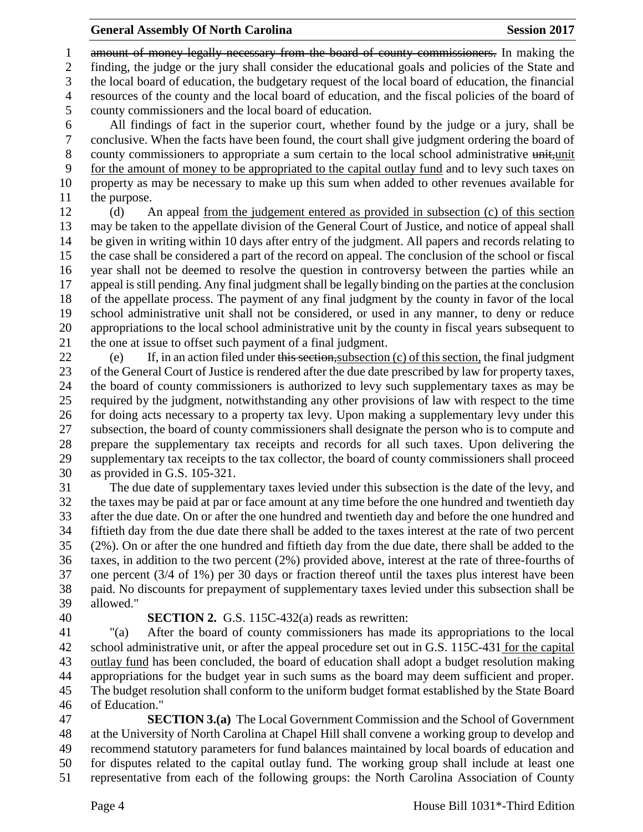1 amount of money legally necessary from the board of county commissioners. In making the finding, the judge or the jury shall consider the educational goals and policies of the State and the local board of education, the budgetary request of the local board of education, the financial resources of the county and the local board of education, and the fiscal policies of the board of county commissioners and the local board of education. All findings of fact in the superior court, whether found by the judge or a jury, shall be

 conclusive. When the facts have been found, the court shall give judgment ordering the board of 8 county commissioners to appropriate a sum certain to the local school administrative unit, unit for the amount of money to be appropriated to the capital outlay fund and to levy such taxes on property as may be necessary to make up this sum when added to other revenues available for the purpose.

 (d) An appeal from the judgement entered as provided in subsection (c) of this section may be taken to the appellate division of the General Court of Justice, and notice of appeal shall be given in writing within 10 days after entry of the judgment. All papers and records relating to the case shall be considered a part of the record on appeal. The conclusion of the school or fiscal year shall not be deemed to resolve the question in controversy between the parties while an appeal is still pending. Any final judgment shall be legally binding on the parties at the conclusion of the appellate process. The payment of any final judgment by the county in favor of the local school administrative unit shall not be considered, or used in any manner, to deny or reduce appropriations to the local school administrative unit by the county in fiscal years subsequent to the one at issue to offset such payment of a final judgment.

 (e) If, in an action filed under this section,subsection (c) of this section, the final judgment of the General Court of Justice is rendered after the due date prescribed by law for property taxes, the board of county commissioners is authorized to levy such supplementary taxes as may be required by the judgment, notwithstanding any other provisions of law with respect to the time for doing acts necessary to a property tax levy. Upon making a supplementary levy under this subsection, the board of county commissioners shall designate the person who is to compute and prepare the supplementary tax receipts and records for all such taxes. Upon delivering the supplementary tax receipts to the tax collector, the board of county commissioners shall proceed as provided in G.S. 105-321.

 The due date of supplementary taxes levied under this subsection is the date of the levy, and the taxes may be paid at par or face amount at any time before the one hundred and twentieth day after the due date. On or after the one hundred and twentieth day and before the one hundred and fiftieth day from the due date there shall be added to the taxes interest at the rate of two percent (2%). On or after the one hundred and fiftieth day from the due date, there shall be added to the taxes, in addition to the two percent (2%) provided above, interest at the rate of three-fourths of one percent (3/4 of 1%) per 30 days or fraction thereof until the taxes plus interest have been paid. No discounts for prepayment of supplementary taxes levied under this subsection shall be allowed."

## **SECTION 2.** G.S. 115C-432(a) reads as rewritten:

 "(a) After the board of county commissioners has made its appropriations to the local school administrative unit, or after the appeal procedure set out in G.S. 115C-431 for the capital outlay fund has been concluded, the board of education shall adopt a budget resolution making appropriations for the budget year in such sums as the board may deem sufficient and proper. The budget resolution shall conform to the uniform budget format established by the State Board of Education."

 **SECTION 3.(a)** The Local Government Commission and the School of Government at the University of North Carolina at Chapel Hill shall convene a working group to develop and recommend statutory parameters for fund balances maintained by local boards of education and for disputes related to the capital outlay fund. The working group shall include at least one representative from each of the following groups: the North Carolina Association of County